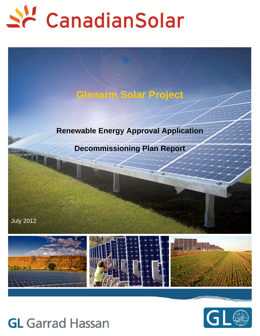

# **Glenarm Solar Project**

# **Renewable Energy Approval Application**

## **Decommissioning Plan Report**

July 2012





# **GL** Garrad Hassan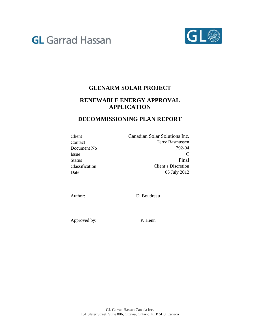# **GL** Garrad Hassan



## **GLENARM SOLAR PROJECT**

## **RENEWABLE ENERGY APPROVAL APPLICATION**

### **DECOMMISSIONING PLAN REPORT**

| Canadian Solar Solutions Inc. |
|-------------------------------|
| <b>Terry Rasmussen</b>        |
| 792-04                        |
|                               |
| Final                         |
| Client's Discretion           |
| 05 July 2012                  |
|                               |

Author: D. Boudreau

Approved by: P. Henn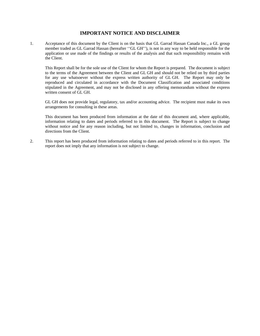#### **IMPORTANT NOTICE AND DISCLAIMER**

1. Acceptance of this document by the Client is on the basis that GL Garrad Hassan Canada Inc., a GL group member traded as GL Garrad Hassan (hereafter ''GL GH''), is not in any way to be held responsible for the application or use made of the findings or results of the analysis and that such responsibility remains with the Client.

This Report shall be for the sole use of the Client for whom the Report is prepared. The document is subject to the terms of the Agreement between the Client and GL GH and should not be relied on by third parties for any use whatsoever without the express written authority of GL GH. The Report may only be reproduced and circulated in accordance with the Document Classification and associated conditions stipulated in the Agreement, and may not be disclosed in any offering memorandum without the express written consent of GL GH.

GL GH does not provide legal, regulatory, tax and/or accounting advice. The recipient must make its own arrangements for consulting in these areas.

This document has been produced from information at the date of this document and, where applicable, information relating to dates and periods referred to in this document. The Report is subject to change without notice and for any reason including, but not limited to, changes in information, conclusion and directions from the Client.

2. This report has been produced from information relating to dates and periods referred to in this report. The report does not imply that any information is not subject to change.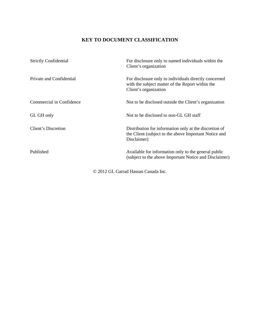### **KEY TO DOCUMENT CLASSIFICATION**

| <b>Strictly Confidential</b> | For disclosure only to named individuals within the<br>Client's organization                                                       |
|------------------------------|------------------------------------------------------------------------------------------------------------------------------------|
| Private and Confidential     | For disclosure only to individuals directly concerned<br>with the subject matter of the Report within the<br>Client's organization |
| Commercial in Confidence     | Not to be disclosed outside the Client's organization                                                                              |
| GL GH only                   | Not to be disclosed to non-GL GH staff                                                                                             |
| <b>Client's Discretion</b>   | Distribution for information only at the discretion of<br>the Client (subject to the above Important Notice and<br>Disclaimer)     |
| Published                    | Available for information only to the general public<br>(subject to the above Important Notice and Disclaimer)                     |

© 2012 GL Garrad Hassan Canada Inc.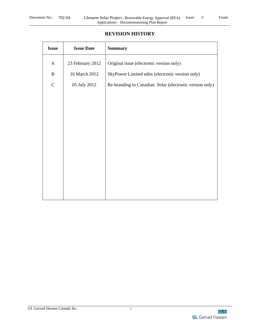#### **REVISION HISTORY**

| <b>Issue</b> | <b>Issue Date</b> | <b>Summary</b>                                          |
|--------------|-------------------|---------------------------------------------------------|
| $\mathbf{A}$ | 23 February 2012  | Original issue (electronic version only)                |
| $\, {\bf B}$ | 16 March 2012     | SkyPower Limited edits (electronic version only)        |
| $\mathsf{C}$ | 05 July 2012      | Re-branding to Canadian Solar (electronic version only) |
|              |                   |                                                         |
|              |                   |                                                         |
|              |                   |                                                         |
|              |                   |                                                         |
|              |                   |                                                         |
|              |                   |                                                         |
|              |                   |                                                         |
|              |                   |                                                         |
|              |                   |                                                         |
|              |                   |                                                         |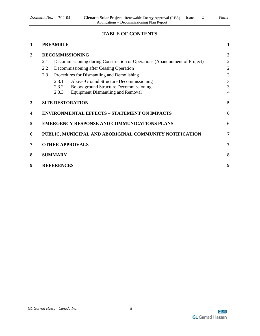#### **TABLE OF CONTENTS**

| 1              | <b>PREAMBLE</b> |                                            |                                                                            | $\mathbf{1}$     |  |
|----------------|-----------------|--------------------------------------------|----------------------------------------------------------------------------|------------------|--|
| $\overline{2}$ |                 |                                            | <b>DECOMMISSIONING</b>                                                     | $\boldsymbol{2}$ |  |
|                | 2.1             |                                            | Decommissioning during Construction or Operations (Abandonment of Project) | $\overline{2}$   |  |
|                | 2.2             | Decommissioning after Ceasing Operation    |                                                                            |                  |  |
|                | 2.3             | Procedures for Dismantling and Demolishing |                                                                            |                  |  |
|                |                 | 2.3.1                                      | Above-Ground Structure Decommissioning                                     | 3                |  |
|                |                 | 2.3.2                                      | Below-ground Structure Decommissioning                                     | 3                |  |
|                |                 | 2.3.3                                      | <b>Equipment Dismantling and Removal</b>                                   | $\overline{4}$   |  |
| 3              |                 |                                            | <b>SITE RESTORATION</b>                                                    | 5                |  |
| 4              |                 |                                            | <b>ENVIRONMENTAL EFFECTS - STATEMENT ON IMPACTS</b>                        | 6                |  |
| 5              |                 |                                            | <b>EMERGENCY RESPONSE AND COMMUNICATIONS PLANS</b>                         | 6                |  |
| 6              |                 |                                            | PUBLIC, MUNICIPAL AND ABORIGINAL COMMUNITY NOTIFICATION                    | 7                |  |
| 7              |                 |                                            | <b>OTHER APPROVALS</b>                                                     | 7                |  |
| 8              |                 | <b>SUMMARY</b>                             |                                                                            | 8                |  |
| 9              |                 | <b>REFERENCES</b>                          |                                                                            | 9                |  |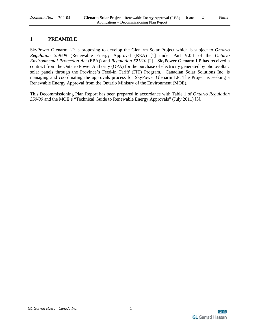#### **1 PREAMBLE**

SkyPower Glenarm LP is proposing to develop the Glenarm Solar Project which is subject to *Ontario Regulation 359/09* (Renewable Energy Approval (REA) [1] under Part V.0.1 of the *Ontario Environmental Protection Act* (EPA)) and *Regulation 521/10* [2]. SkyPower Glenarm LP has received a contract from the Ontario Power Authority (OPA) for the purchase of electricity generated by photovoltaic solar panels through the Province's Feed-in Tariff (FIT) Program. Canadian Solar Solutions Inc. is managing and coordinating the approvals process for SkyPower Glenarm LP. The Project is seeking a Renewable Energy Approval from the Ontario Ministry of the Environment (MOE).

This Decommissioning Plan Report has been prepared in accordance with Table 1 of *Ontario Regulation 359/09* and the MOE's "Technical Guide to Renewable Energy Approvals" (July 2011) [3].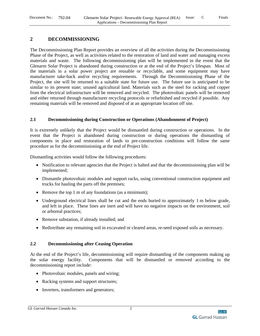#### **2 DECOMMISSIONING**

The Decommissioning Plan Report provides an overview of all the activities during the Decommissioning Phase of the Project, as well as activities related to the restoration of land and water and managing excess materials and waste. The following decommissioning plan will be implemented in the event that the Glenarm Solar Project is abandoned during construction or at the end of the Project's lifespan. Most of the materials in a solar power project are reusable or recyclable, and some equipment may have manufacturer take-back and/or recycling requirements. Through the Decommissioning Phase of the Project, the site will be returned to a suitable state for future use. The future use is anticipated to be similar to its present state; unused agricultural land. Materials such as the steel for racking and copper from the electrical infrastructure will be removed and recycled. The photovoltaic panels will be removed and either returned through manufacturer recycling protocols or refurbished and recycled if possible. Any remaining materials will be removed and disposed of at an appropriate location off site.

#### **2.1 Decommissioning during Construction or Operations (Abandonment of Project)**

It is extremely unlikely that the Project would be dismantled during construction or operations. In the event that the Project is abandoned during construction or during operations the dismantling of components in place and restoration of lands to pre-construction conditions will follow the same procedure as for the decommissioning at the end of Project life.

Dismantling activities would follow the following procedures:

- Notification to relevant agencies that the Project is halted and that the decommissioning plan will be implemented;
- Dismantle photovoltaic modules and support racks, using conventional construction equipment and trucks for hauling the parts off the premises;
- Remove the top 1 m of any foundations (as a minimum);
- Underground electrical lines shall be cut and the ends buried to approximately 1 m below grade, and left in place. These lines are inert and will have no negative impacts on the environment, soil or arboreal practices;
- Remove substation, if already installed; and
- Redistribute any remaining soil in excavated or cleared areas, re-seed exposed soils as necessary.

#### **2.2 Decommissioning after Ceasing Operation**

At the end of the Project's life, decommissioning will require dismantling of the components making up the solar energy facility. Components that will be dismantled or removed according to the decommissioning report include:

- Photovoltaic modules, panels and wiring;
- Racking systems and support structures;
- Inverters, transformers and generators;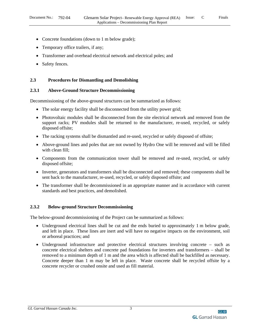- Concrete foundations (down to 1 m below grade);
- Temporary office trailers, if any;
- Transformer and overhead electrical network and electrical poles; and
- Safety fences.

#### **2.3 Procedures for Dismantling and Demolishing**

#### **2.3.1 Above-Ground Structure Decommissioning**

Decommissioning of the above-ground structures can be summarized as follows:

- The solar energy facility shall be disconnected from the utility power grid;
- Photovoltaic modules shall be disconnected from the site electrical network and removed from the support racks; PV modules shall be returned to the manufacturer, re-used, recycled, or safely disposed offsite;
- The racking systems shall be dismantled and re-used, recycled or safely disposed of offsite;
- Above-ground lines and poles that are not owned by Hydro One will be removed and will be filled with clean fill;
- Components from the communication tower shall be removed and re-used, recycled, or safely disposed offsite;
- Inverter, generators and transformers shall be disconnected and removed; these components shall be sent back to the manufacturer, re-used, recycled, or safely disposed offsite; and
- The transformer shall be decommissioned in an appropriate manner and in accordance with current standards and best practices, and demolished.

#### **2.3.2 Below-ground Structure Decommissioning**

The below-ground decommissioning of the Project can be summarized as follows:

- Underground electrical lines shall be cut and the ends buried to approximately 1 m below grade, and left in place. These lines are inert and will have no negative impacts on the environment, soil or arboreal practices; and
- Underground infrastructure and protective electrical structures involving concrete such as concrete electrical shelters and concrete pad foundations for inverters and transformers – shall be removed to a minimum depth of 1 m and the area which is affected shall be backfilled as necessary. Concrete deeper than 1 m may be left in place. Waste concrete shall be recycled offsite by a concrete recycler or crushed onsite and used as fill material.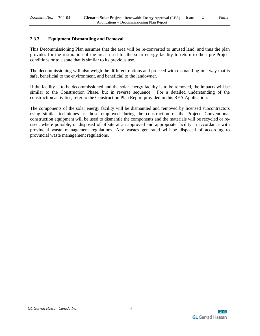#### **2.3.3 Equipment Dismantling and Removal**

This Decommissioning Plan assumes that the area will be re-converted to unused land, and thus the plan provides for the restoration of the areas used for the solar energy facility to return to their pre-Project conditions or to a state that is similar to its previous use.

The decommissioning will also weigh the different options and proceed with dismantling in a way that is safe, beneficial to the environment, and beneficial to the landowner.

If the facility is to be decommissioned and the solar energy facility is to be removed, the impacts will be similar to the Construction Phase, but in reverse sequence. For a detailed understanding of the construction activities, refer to the Construction Plan Report provided in this REA Application.

The components of the solar energy facility will be dismantled and removed by licensed subcontractors using similar techniques as those employed during the construction of the Project. Conventional construction equipment will be used to dismantle the components and the materials will be recycled or reused, where possible, or disposed of offsite at an approved and appropriate facility in accordance with provincial waste management regulations. Any wastes generated will be disposed of according to provincial waste management regulations.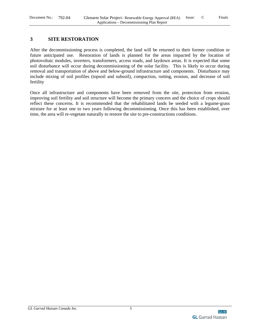#### **3 SITE RESTORATION**

After the decommissioning process is completed, the land will be returned to their former condition or future anticipated use. Restoration of lands is planned for the areas impacted by the location of photovoltaic modules, inverters, transformers, access roads, and laydown areas. It is expected that some soil disturbance will occur during decommissioning of the solar facility. This is likely to occur during removal and transportation of above and below-ground infrastructure and components. Disturbance may include mixing of soil profiles (topsoil and subsoil), compaction, rutting, erosion, and decrease of soil fertility

Once all infrastructure and components have been removed from the site, protection from erosion, improving soil fertility and soil structure will become the primary concern and the choice of crops should reflect these concerns. It is recommended that the rehabilitated lands be seeded with a legume-grass mixture for at least one to two years following decommissioning. Once this has been established, over time, the area will re-vegetate naturally to restore the site to pre-constructions conditions.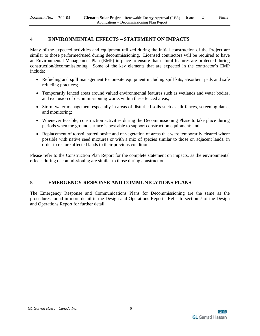#### **4 ENVIRONMENTAL EFFECTS – STATEMENT ON IMPACTS**

Many of the expected activities and equipment utilized during the initial construction of the Project are similar to those performed/used during decommissioning. Licensed contractors will be required to have an Environmental Management Plan (EMP) in place to ensure that natural features are protected during construction/decommissioning. Some of the key elements that are expected in the contractor's EMP include:

- Refueling and spill management for on-site equipment including spill kits, absorbent pads and safe refueling practices;
- Temporarily fenced areas around valued environmental features such as wetlands and water bodies, and exclusion of decommissioning works within these fenced areas;
- Storm water management especially in areas of disturbed soils such as silt fences, screening dams, and monitoring;
- Whenever feasible, construction activities during the Decommissioning Phase to take place during periods when the ground surface is best able to support construction equipment; and
- Replacement of topsoil stored onsite and re-vegetation of areas that were temporarily cleared where possible with native seed mixtures or with a mix of species similar to those on adjacent lands, in order to restore affected lands to their previous condition.

Please refer to the Construction Plan Report for the complete statement on impacts, as the environmental effects during decommissioning are similar to those during construction.

#### **5 EMERGENCY RESPONSE AND COMMUNICATIONS PLANS**

The Emergency Response and Communications Plans for Decommissioning are the same as the procedures found in more detail in the Design and Operations Report. Refer to section 7 of the Design and Operations Report for further detail.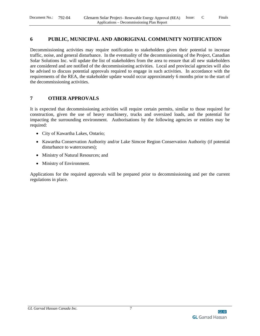#### **6 PUBLIC, MUNICIPAL AND ABORIGINAL COMMUNITY NOTIFICATION**

Decommissioning activities may require notification to stakeholders given their potential to increase traffic, noise, and general disturbance. In the eventuality of the decommissioning of the Project, Canadian Solar Solutions Inc. will update the list of stakeholders from the area to ensure that all new stakeholders are considered and are notified of the decommissioning activities. Local and provincial agencies will also be advised to discuss potential approvals required to engage in such activities. In accordance with the requirements of the REA, the stakeholder update would occur approximately 6 months prior to the start of the decommissioning activities.

#### **7 OTHER APPROVALS**

It is expected that decommissioning activities will require certain permits, similar to those required for construction, given the use of heavy machinery, trucks and oversized loads, and the potential for impacting the surrounding environment. Authorisations by the following agencies or entities may be required:

- City of Kawartha Lakes, Ontario;
- Kawartha Conservation Authority and/or Lake Simcoe Region Conservation Authority (if potential disturbance to watercourses);
- Ministry of Natural Resources; and
- Ministry of Environment.

Applications for the required approvals will be prepared prior to decommissioning and per the current regulations in place.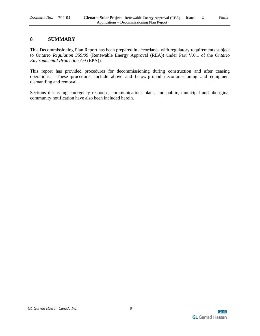#### **8 SUMMARY**

This Decommissioning Plan Report has been prepared in accordance with regulatory requirements subject to *Ontario Regulation 359/09* (Renewable Energy Approval (REA)) under Part V.0.1 of the *Ontario Environmental Protection Act* (EPA)).

This report has provided procedures for decommissioning during construction and after ceasing operations. These procedures include above and below-ground decommissioning and equipment dismantling and removal.

Sections discussing emergency response, communications plans, and public, municipal and aboriginal community notification have also been included herein.